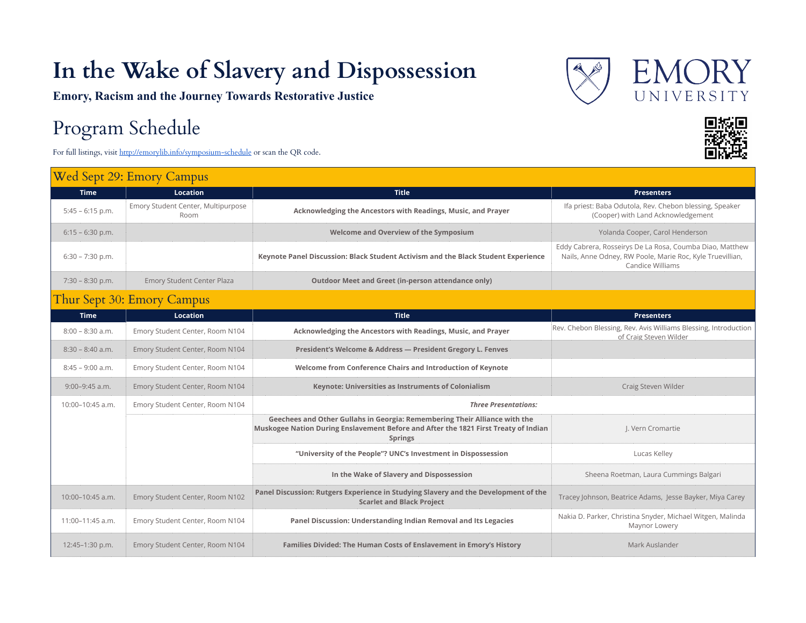## **In the Wake of Slavery and Dispossession**

**Emory, Racism and the Journey Towards Restorative Justice**

## Program Schedule

For full listings, visit http://emorylib.info/symposium-schedule or scan the QR code.

## Wed Sept 29: Emory Campus





| <b>Time</b>        | <b>Location</b>                            | <b>Title</b>                                                                                                                                                                        | <b>Presenters</b>                                                                                                                         |
|--------------------|--------------------------------------------|-------------------------------------------------------------------------------------------------------------------------------------------------------------------------------------|-------------------------------------------------------------------------------------------------------------------------------------------|
| $5:45 - 6:15$ p.m. | Emory Student Center, Multipurpose<br>Room | Acknowledging the Ancestors with Readings, Music, and Prayer                                                                                                                        | Ifa priest: Baba Odutola, Rev. Chebon blessing, Speaker<br>(Cooper) with Land Acknowledgement                                             |
| $6:15 - 6:30$ p.m. |                                            | Welcome and Overview of the Symposium                                                                                                                                               | Yolanda Cooper, Carol Henderson                                                                                                           |
| $6:30 - 7:30$ p.m. |                                            | Keynote Panel Discussion: Black Student Activism and the Black Student Experience                                                                                                   | Eddy Cabrera, Rosseirys De La Rosa, Coumba Diao, Matthew<br>Nails, Anne Odney, RW Poole, Marie Roc, Kyle Truevillian,<br>Candice Williams |
| $7:30 - 8:30$ p.m. | Emory Student Center Plaza                 | <b>Outdoor Meet and Greet (in-person attendance only)</b>                                                                                                                           |                                                                                                                                           |
|                    | Thur Sept 30: Emory Campus                 |                                                                                                                                                                                     |                                                                                                                                           |
| <b>Time</b>        | <b>Location</b>                            | <b>Title</b>                                                                                                                                                                        | <b>Presenters</b>                                                                                                                         |
| $8:00 - 8:30$ a.m. | Emory Student Center, Room N104            | Acknowledging the Ancestors with Readings, Music, and Prayer                                                                                                                        | Rev. Chebon Blessing, Rev. Avis Williams Blessing, Introduction<br>of Craig Steven Wilder                                                 |
| $8:30 - 8:40$ a.m. | Emory Student Center, Room N104            | President's Welcome & Address - President Gregory L. Fenves                                                                                                                         |                                                                                                                                           |
| $8:45 - 9:00$ a.m. | Emory Student Center, Room N104            | Welcome from Conference Chairs and Introduction of Keynote                                                                                                                          |                                                                                                                                           |
| $9:00-9:45$ a.m.   | Emory Student Center, Room N104            | Keynote: Universities as Instruments of Colonialism                                                                                                                                 | Craig Steven Wilder                                                                                                                       |
| 10:00-10:45 a.m.   | Emory Student Center, Room N104            | <b>Three Presentations:</b>                                                                                                                                                         |                                                                                                                                           |
|                    |                                            | Geechees and Other Gullahs in Georgia: Remembering Their Alliance with the<br>Muskogee Nation During Enslavement Before and After the 1821 First Treaty of Indian<br><b>Springs</b> | J. Vern Cromartie                                                                                                                         |
|                    |                                            | "University of the People"? UNC's Investment in Dispossession                                                                                                                       | Lucas Kelley                                                                                                                              |
|                    |                                            | In the Wake of Slavery and Dispossession                                                                                                                                            | Sheena Roetman, Laura Cummings Balgari                                                                                                    |
| 10:00-10:45 a.m.   | Emory Student Center, Room N102            | Panel Discussion: Rutgers Experience in Studying Slavery and the Development of the<br><b>Scarlet and Black Project</b>                                                             | Tracey Johnson, Beatrice Adams, Jesse Bayker, Miya Carey                                                                                  |
| 11:00-11:45 a.m.   | Emory Student Center, Room N104            | Panel Discussion: Understanding Indian Removal and Its Legacies                                                                                                                     | Nakia D. Parker, Christina Snyder, Michael Witgen, Malinda<br>Maynor Lowery                                                               |
| 12:45-1:30 p.m.    | Emory Student Center, Room N104            | Families Divided: The Human Costs of Enslavement in Emory's History                                                                                                                 | Mark Auslander                                                                                                                            |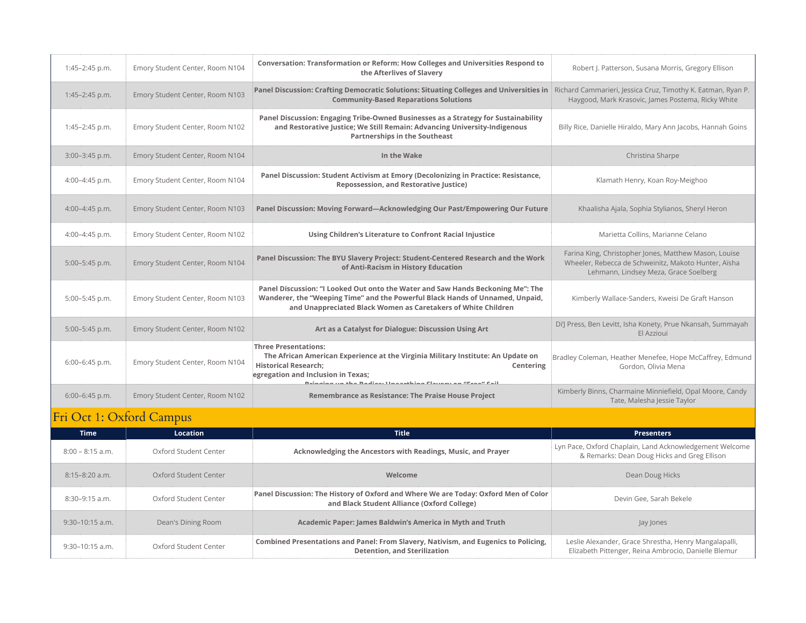| 1:45-2:45 p.m.   | Emory Student Center, Room N104 | Conversation: Transformation or Reform: How Colleges and Universities Respond to<br>the Afterlives of Slavery                                                                                                                                                  | Robert J. Patterson, Susana Morris, Gregory Ellison                                                                                                    |
|------------------|---------------------------------|----------------------------------------------------------------------------------------------------------------------------------------------------------------------------------------------------------------------------------------------------------------|--------------------------------------------------------------------------------------------------------------------------------------------------------|
| 1:45-2:45 p.m.   | Emory Student Center, Room N103 | Panel Discussion: Crafting Democratic Solutions: Situating Colleges and Universities in Richard Cammarieri, Jessica Cruz, Timothy K. Eatman, Ryan P.<br><b>Community-Based Reparations Solutions</b>                                                           | Haygood, Mark Krasovic, James Postema, Ricky White                                                                                                     |
| $1:45-2:45$ p.m. | Emory Student Center, Room N102 | Panel Discussion: Engaging Tribe-Owned Businesses as a Strategy for Sustainability<br>and Restorative Justice; We Still Remain: Advancing University-Indigenous<br><b>Partnerships in the Southeast</b>                                                        | Billy Rice, Danielle Hiraldo, Mary Ann Jacobs, Hannah Goins                                                                                            |
| 3:00-3:45 p.m.   | Emory Student Center, Room N104 | In the Wake                                                                                                                                                                                                                                                    | Christina Sharpe                                                                                                                                       |
| 4:00-4:45 p.m.   | Emory Student Center, Room N104 | Panel Discussion: Student Activism at Emory (Decolonizing in Practice: Resistance,<br><b>Repossession, and Restorative Justice)</b>                                                                                                                            | Klamath Henry, Koan Roy-Meighoo                                                                                                                        |
| 4:00-4:45 p.m.   | Emory Student Center, Room N103 | Panel Discussion: Moving Forward-Acknowledging Our Past/Empowering Our Future                                                                                                                                                                                  | Khaalisha Ajala, Sophia Stylianos, Sheryl Heron                                                                                                        |
| 4:00-4:45 p.m.   | Emory Student Center, Room N102 | Using Children's Literature to Confront Racial Injustice                                                                                                                                                                                                       | Marietta Collins, Marianne Celano                                                                                                                      |
| 5:00-5:45 p.m.   | Emory Student Center, Room N104 | Panel Discussion: The BYU Slavery Project: Student-Centered Research and the Work<br>of Anti-Racism in History Education                                                                                                                                       | Farina King, Christopher Jones, Matthew Mason, Louise<br>Wheeler, Rebecca de Schweinitz, Makoto Hunter, Aïsha<br>Lehmann, Lindsey Meza, Grace Soelberg |
| 5:00-5:45 p.m.   | Emory Student Center, Room N103 | Panel Discussion: "I Looked Out onto the Water and Saw Hands Beckoning Me": The<br>Wanderer, the "Weeping Time" and the Powerful Black Hands of Unnamed, Unpaid,<br>and Unappreciated Black Women as Caretakers of White Children                              | Kimberly Wallace-Sanders, Kweisi De Graft Hanson                                                                                                       |
| 5:00-5:45 p.m.   | Emory Student Center, Room N102 | Art as a Catalyst for Dialogue: Discussion Using Art                                                                                                                                                                                                           | Di'J Press, Ben Levitt, Isha Konety, Prue Nkansah, Summayah<br>El Azzioui                                                                              |
| 6:00-6:45 p.m.   | Emory Student Center, Room N104 | <b>Three Presentations:</b><br>The African American Experience at the Virginia Military Institute: An Update on<br><b>Historical Research;</b><br>Centering<br>egregation and Inclusion in Texas;<br>Dainging un the Dedice Linesathing Clause on "Excell Cail | Bradley Coleman, Heather Menefee, Hope McCaffrey, Edmund<br>Gordon, Olivia Mena                                                                        |
| $6:00-6:45$ p.m. | Emory Student Center, Room N102 | Remembrance as Resistance: The Praise House Project                                                                                                                                                                                                            | Kimberly Binns, Charmaine Minniefield, Opal Moore, Candy<br>Tate, Malesha Jessie Taylor                                                                |

## Fri Oct 1: Oxford Campus

| <b>Time</b>        | <b>Location</b>       | <b>Title</b>                                                                                                                       | <b>Presenters</b>                                                                                             |
|--------------------|-----------------------|------------------------------------------------------------------------------------------------------------------------------------|---------------------------------------------------------------------------------------------------------------|
| $8:00 - 8:15$ a.m. | Oxford Student Center | Acknowledging the Ancestors with Readings, Music, and Prayer                                                                       | Lyn Pace, Oxford Chaplain, Land Acknowledgement Welcome<br>& Remarks: Dean Doug Hicks and Greg Ellison        |
| $8:15-8:20$ a.m.   | Oxford Student Center | Welcome                                                                                                                            | Dean Doug Hicks                                                                                               |
| $8:30-9:15$ a.m.   | Oxford Student Center | Panel Discussion: The History of Oxford and Where We are Today: Oxford Men of Color<br>and Black Student Alliance (Oxford College) | Devin Gee, Sarah Bekele                                                                                       |
| $9:30-10:15$ a.m.  | Dean's Dining Room    | Academic Paper: James Baldwin's America in Myth and Truth                                                                          | Jay Jones                                                                                                     |
| $9:30-10:15$ a.m.  | Oxford Student Center | Combined Presentations and Panel: From Slavery, Nativism, and Eugenics to Policing,<br><b>Detention, and Sterilization</b>         | Leslie Alexander, Grace Shrestha, Henry Mangalapalli,<br>Elizabeth Pittenger, Reina Ambrocio, Danielle Blemur |